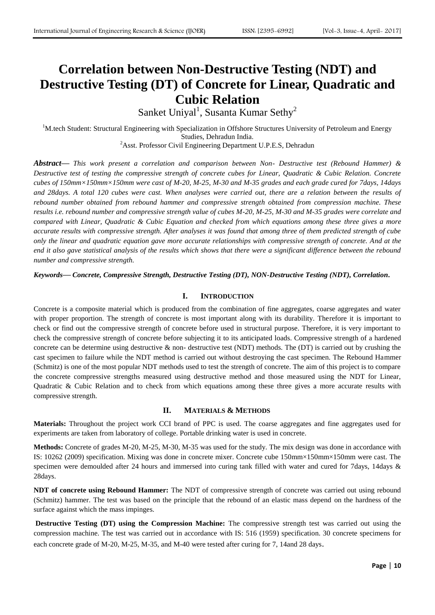# **Correlation between Non-Destructive Testing (NDT) and Destructive Testing (DT) of Concrete for Linear, Quadratic and Cubic Relation**

Sanket Uniyal<sup>1</sup>, Susanta Kumar Sethy<sup>2</sup>

<sup>1</sup>M.tech Student: Structural Engineering with Specialization in Offshore Structures University of Petroleum and Energy Studies, Dehradun India. <sup>2</sup>Asst. Professor Civil Engineering Department U.P.E.S, Dehradun

*Abstract***—** *This work present a correlation and comparison between Non- Destructive test (Rebound Hammer) & Destructive test of testing the compressive strength of concrete cubes for Linear, Quadratic & Cubic Relation. Concrete cubes of 150mm×150mm×150mm were cast of M-20, M-25, M-30 and M-35 grades and each grade cured for 7days, 14days and 28days. A total 120 cubes were cast. When analyses were carried out, there are a relation between the results of rebound number obtained from rebound hammer and compressive strength obtained from compression machine. These results i.e. rebound number and compressive strength value of cubes M-20, M-25, M-30 and M-35 grades were correlate and compared with Linear, Quadratic & Cubic Equation and checked from which equations among these three gives a more accurate results with compressive strength. After analyses it was found that among three of them predicted strength of cube only the linear and quadratic equation gave more accurate relationships with compressive strength of concrete. And at the end it also gave statistical analysis of the results which shows that there were a significant difference between the rebound number and compressive strength.* 

*Keywords***—** *Concrete, Compressive Strength, Destructive Testing (DT), NON-Destructive Testing (NDT), Correlation***.**

#### **I. INTRODUCTION**

Concrete is a composite material which is produced from the combination of fine aggregates, coarse aggregates and water with proper proportion. The strength of concrete is most important along with its durability. Therefore it is important to check or find out the compressive strength of concrete before used in structural purpose. Therefore, it is very important to check the compressive strength of concrete before subjecting it to its anticipated loads. Compressive strength of a hardened concrete can be determine using destructive & non- destructive test (NDT) methods. The (DT) is carried out by crushing the cast specimen to failure while the NDT method is carried out without destroying the cast specimen. The Rebound Hammer (Schmitz) is one of the most popular NDT methods used to test the strength of concrete. The aim of this project is to compare the concrete compressive strengths measured using destructive method and those measured using the NDT for Linear, Quadratic & Cubic Relation and to check from which equations among these three gives a more accurate results with compressive strength.

## **II. MATERIALS & METHODS**

**Materials:** Throughout the project work CCI brand of PPC is used. The coarse aggregates and fine aggregates used for experiments are taken from laboratory of college. Portable drinking water is used in concrete.

**Methods:** Concrete of grades M-20, M-25, M-30, M-35 was used for the study. The mix design was done in accordance with IS: 10262 (2009) specification. Mixing was done in concrete mixer. Concrete cube 150mm×150mm×150mm were cast. The specimen were demoulded after 24 hours and immersed into curing tank filled with water and cured for 7days, 14days & 28days.

**NDT of concrete using Rebound Hammer:** The NDT of compressive strength of concrete was carried out using rebound (Schmitz) hammer. The test was based on the principle that the rebound of an elastic mass depend on the hardness of the surface against which the mass impinges.

**Destructive Testing (DT) using the Compression Machine:** The compressive strength test was carried out using the compression machine. The test was carried out in accordance with IS: 516 (1959) specification. 30 concrete specimens for each concrete grade of M-20, M-25, M-35, and M-40 were tested after curing for 7, 14and 28 days.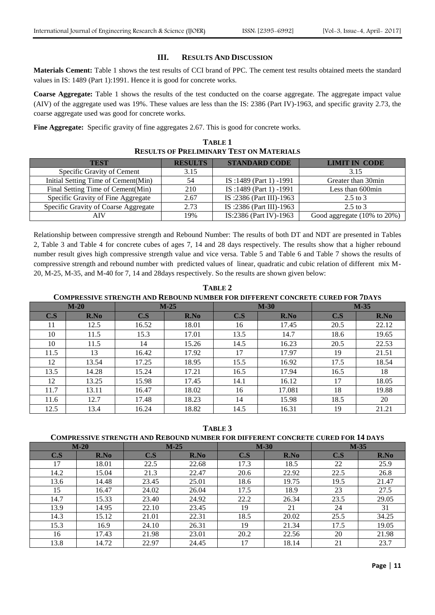### **III. RESULTS AND DISCUSSION**

**Materials Cement:** Table 1 shows the test results of CCI brand of PPC. The cement test results obtained meets the standard values in IS: 1489 (Part 1):1991. Hence it is good for concrete works.

**Coarse Aggregate:** Table 1 shows the results of the test conducted on the coarse aggregate. The aggregate impact value (AIV) of the aggregate used was 19%. These values are less than the IS: 2386 (Part IV)-1963, and specific gravity 2.73, the coarse aggregate used was good for concrete works.

**Fine Aggregate:** Specific gravity of fine aggregates 2.67. This is good for concrete works.

| <b>TABLE 1</b>                                  |
|-------------------------------------------------|
| <b>RESULTS OF PRELIMINARY TEST ON MATERIALS</b> |

| <b>TEST</b>                          | <b>RESULTS</b> | <b>STANDARD CODE</b>    | <b>LIMIT IN CODE</b>        |
|--------------------------------------|----------------|-------------------------|-----------------------------|
| Specific Gravity of Cement           | 3.15           |                         | 3.15                        |
| Initial Setting Time of Cement(Min)  | 54             | IS:1489 (Part 1) -1991  | Greater than 30min          |
| Final Setting Time of Cement(Min)    | 210            | IS:1489 (Part 1) -1991  | Less than 600min            |
| Specific Gravity of Fine Aggregate   | 2.67           | IS:2386 (Part III)-1963 | $2.5$ to 3                  |
| Specific Gravity of Coarse Aggregate | 2.73           | IS:2386 (Part III)-1963 | $2.5$ to 3                  |
| AIV                                  | 19%            | IS:2386 (Part IV)-1963  | Good aggregate (10% to 20%) |

Relationship between compressive strength and Rebound Number: The results of both DT and NDT are presented in Tables 2, Table 3 and Table 4 for concrete cubes of ages 7, 14 and 28 days respectively. The results show that a higher rebound number result gives high compressive strength value and vice versa. Table 5 and Table 6 and Table 7 shows the results of compressive strength and rebound number with predicted values of linear, quadratic and cubic relation of different mix M-20, M-25, M-35, and M-40 for 7, 14 and 28days respectively. So the results are shown given below:

**TABLE 2 COMPRESSIVE STRENGTH AND REBOUND NUMBER FOR DIFFERENT CONCRETE CURED FOR 7DAYS**

|      | $M-20$ |       | $M-25$ | $M-30$ |        | $M-35$ |       |  |
|------|--------|-------|--------|--------|--------|--------|-------|--|
| C.S  | R.No   | C.S   | R.No   | C.S    | R.No   | C.S    | R.No  |  |
| 11   | 12.5   | 16.52 | 18.01  | 16     | 17.45  | 20.5   | 22.12 |  |
| 10   | 11.5   | 15.3  | 17.01  | 13.5   | 14.7   | 18.6   | 19.65 |  |
| 10   | 11.5   | 14    | 15.26  | 14.5   | 16.23  | 20.5   | 22.53 |  |
| 11.5 | 13     | 16.42 | 17.92  | 17     | 17.97  | 19     | 21.51 |  |
| 12   | 13.54  | 17.25 | 18.95  | 15.5   | 16.92  | 17.5   | 18.54 |  |
| 13.5 | 14.28  | 15.24 | 17.21  | 16.5   | 17.94  | 16.5   | 18    |  |
| 12   | 13.25  | 15.98 | 17.45  | 14.1   | 16.12  | 17     | 18.05 |  |
| 11.7 | 13.11  | 16.47 | 18.02  | 16     | 17.081 | 18     | 19.88 |  |
| 11.6 | 12.7   | 17.48 | 18.23  | 14     | 15.98  | 18.5   | 20    |  |
| 12.5 | 13.4   | 16.24 | 18.82  | 14.5   | 16.31  | 19     | 21.21 |  |

**TABLE 3**

|      | $M-20$ |       | $M-25$ |      | $M-30$ |      | $M-35$ |
|------|--------|-------|--------|------|--------|------|--------|
| C.S  | R.No   | C.S   | R.No   | C.S  | R.No   | C.S  | R.No   |
| 17   | 18.01  | 22.5  | 22.68  | 17.3 | 18.5   | 22   | 25.9   |
| 14.2 | 15.04  | 21.3  | 22.47  | 20.6 | 22.92  | 22.5 | 26.8   |
| 13.6 | 14.48  | 23.45 | 25.01  | 18.6 | 19.75  | 19.5 | 21.47  |
| 15   | 16.47  | 24.02 | 26.04  | 17.5 | 18.9   | 23   | 27.5   |
| 14.7 | 15.33  | 23.40 | 24.92  | 22.2 | 26.34  | 23.5 | 29.05  |
| 13.9 | 14.95  | 22.10 | 23.45  | 19   | 21     | 24   | 31     |
| 14.3 | 15.12  | 21.01 | 22.31  | 18.5 | 20.02  | 25.5 | 34.25  |
| 15.3 | 16.9   | 24.10 | 26.31  | 19   | 21.34  | 17.5 | 19.05  |
| 16   | 17.43  | 21.98 | 23.01  | 20.2 | 22.56  | 20   | 21.98  |
| 13.8 | 14.72  | 22.97 | 24.45  | 17   | 18.14  | 21   | 23.7   |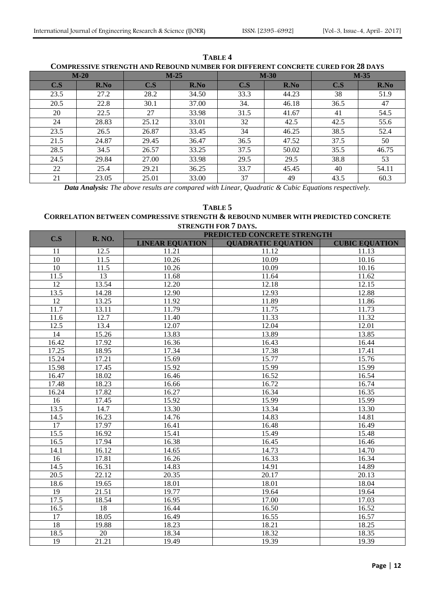| COMI REGGI I E GIRENGI II AND REDOCND NOMBER I OR DII I ERENI "CONCRETE CORED I OR 20 DA IG |        |       |        |      |        |      |        |
|---------------------------------------------------------------------------------------------|--------|-------|--------|------|--------|------|--------|
|                                                                                             | $M-20$ |       | $M-25$ |      | $M-30$ |      | $M-35$ |
| C.S                                                                                         | R.No   | C.S   | R.No   | C.S  | R.No   | C.S  | R.No   |
| 23.5                                                                                        | 27.2   | 28.2  | 34.50  | 33.3 | 44.23  | 38   | 51.9   |
| 20.5                                                                                        | 22.8   | 30.1  | 37.00  | 34.  | 46.18  | 36.5 | 47     |
| 20                                                                                          | 22.5   | 27    | 33.98  | 31.5 | 41.67  | 41   | 54.5   |
| 24                                                                                          | 28.83  | 25.12 | 33.01  | 32   | 42.5   | 42.5 | 55.6   |
| 23.5                                                                                        | 26.5   | 26.87 | 33.45  | 34   | 46.25  | 38.5 | 52.4   |
| 21.5                                                                                        | 24.87  | 29.45 | 36.47  | 36.5 | 47.52  | 37.5 | 50     |
| 28.5                                                                                        | 34.5   | 26.57 | 33.25  | 37.5 | 50.02  | 35.5 | 46.75  |
| 24.5                                                                                        | 29.84  | 27.00 | 33.98  | 29.5 | 29.5   | 38.8 | 53     |
| 22                                                                                          | 25.4   | 29.21 | 36.25  | 33.7 | 45.45  | 40   | 54.11  |
| 21                                                                                          | 23.05  | 25.01 | 33.00  | 37   | 49     | 43.5 | 60.3   |

**TABLE 4 COMPRESSIVE STRENGTH AND REBOUND NUMBER FOR DIFFERENT CONCRETE CURED FOR 28 DAYS**

*Data Analysis: The above results are compared with Linear, Quadratic & Cubic Equations respectively.*

## **TABLE 5**

## **CORRELATION BETWEEN COMPRESSIVE STRENGTH & REBOUND NUMBER WITH PREDICTED CONCRETE STRENGTH FOR 7 DAYS.**

| C.S               | <b>R. NO.</b> | PREDICTED CONCRETE STRENGTH |                           |                       |  |
|-------------------|---------------|-----------------------------|---------------------------|-----------------------|--|
|                   |               | <b>LINEAR EQUATION</b>      | <b>QUADRATIC EQUATION</b> | <b>CUBIC EQUATION</b> |  |
| 11                | 12.5          | 11.21                       | 11.12                     | 11.13                 |  |
| 10                | 11.5          | 10.26                       | 10.09                     | 10.16                 |  |
| $\overline{10}$   | 11.5          | 10.26                       | 10.09                     | 10.16                 |  |
| 11.5              | 13            | 11.68                       | 11.64                     | 11.62                 |  |
| $\overline{12}$   | 13.54         | 12.20                       | 12.18                     | 12.15                 |  |
| 13.5              | 14.28         | 12.90                       | 12.93                     | 12.88                 |  |
| 12                | 13.25         | 11.92                       | 11.89                     | 11.86                 |  |
| 11.7              | 13.11         | 11.79                       | 11.75                     | 11.73                 |  |
| 11.6              | 12.7          | 11.40                       | 11.33                     | 11.32                 |  |
| 12.5              | 13.4          | 12.07                       | 12.04                     | 12.01                 |  |
| 14                | 15.26         | 13.83                       | 13.89                     | 13.85                 |  |
| 16.42             | 17.92         | 16.36                       | 16.43                     | 16.44                 |  |
| 17.25             | 18.95         | 17.34                       | 17.38                     | 17.41                 |  |
| 15.24             | 17.21         | 15.69                       | 15.77                     | 15.76                 |  |
| 15.98             | 17.45         | 15.92                       | 15.99                     | 15.99                 |  |
| 16.47             | 18.02         | 16.46                       | 16.52                     | 16.54                 |  |
| 17.48             | 18.23         | 16.66                       | 16.72                     | 16.74                 |  |
| 16.24             | 17.82         | 16.27                       | 16.34                     | 16.35                 |  |
| 16                | 17.45         | 15.92                       | 15.99                     | 15.99                 |  |
| 13.5              | 14.7          | 13.30                       | 13.34                     | 13.30                 |  |
| 14.5              | 16.23         | 14.76                       | 14.83                     | 14.81                 |  |
| $\overline{17}$   | 17.97         | 16.41                       | 16.48                     | 16.49                 |  |
| 15.5              | 16.92         | 15.41                       | 15.49                     | 15.48                 |  |
| 16.5              | 17.94         | 16.38                       | 16.45                     | 16.46                 |  |
| 14.1              | 16.12         | 14.65                       | 14.73                     | 14.70                 |  |
| 16                | 17.81         | 16.26                       | 16.33                     | 16.34                 |  |
| 14.5              | 16.31         | 14.83                       | 14.91                     | 14.89                 |  |
| $\overline{20.5}$ | 22.12         | 20.35                       | 20.17                     | $\overline{20.13}$    |  |
| 18.6              | 19.65         | 18.01                       | 18.01                     | 18.04                 |  |
| 19                | 21.51         | 19.77                       | 19.64                     | 19.64                 |  |
| 17.5              | 18.54         | 16.95                       | 17.00                     | 17.03                 |  |
| 16.5              | 18            | 16.44                       | 16.50                     | 16.52                 |  |
| 17                | 18.05         | 16.49                       | 16.55                     | 16.57                 |  |
| 18                | 19.88         | 18.23                       | 18.21                     | 18.25                 |  |
| 18.5              | 20            | 18.34                       | 18.32                     | 18.35                 |  |
| 19                | 21.21         | 19.49                       | 19.39                     | 19.39                 |  |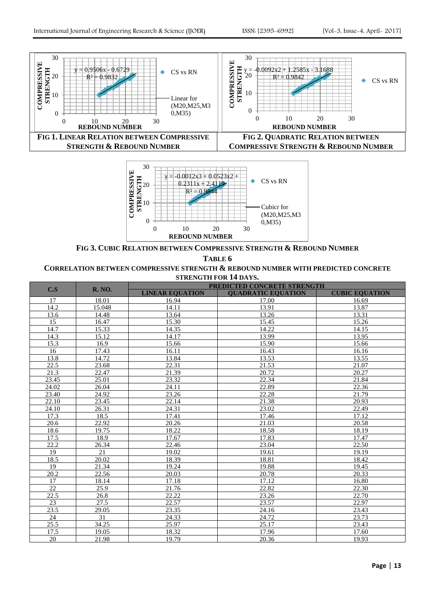



**FIG 3. CUBIC RELATION BETWEEN COMPRESSIVE STRENGTH & REBOUND NUMBER**

**TABLE 6 CORRELATION BETWEEN COMPRESSIVE STRENGTH & REBOUND NUMBER WITH PREDICTED CONCRETE STRENGTH FOR 14 DAYS.**

| C.S   |        | PREDICTED CONCRETE STRENGTH<br><b>R. NO.</b> |                           |                       |  |
|-------|--------|----------------------------------------------|---------------------------|-----------------------|--|
|       |        | <b>LINEAR EQUATION</b>                       | <b>QUADRATIC EQUATION</b> | <b>CUBIC EQUATION</b> |  |
| 17    | 18.01  | 16.94                                        | 17.00                     | 16.69                 |  |
| 14.2  | 15.048 | 14.11                                        | 13.91                     | 13.87                 |  |
| 13.6  | 14.48  | 13.64                                        | 13.26                     | 13.31                 |  |
| 15    | 16.47  | 15.30                                        | 15.45                     | 15.26                 |  |
| 14.7  | 15.33  | 14.35                                        | 14.22                     | 14.15                 |  |
| 14.3  | 15.12  | 14.17                                        | 13.99                     | 13.95                 |  |
| 15.3  | 16.9   | 15.66                                        | 15.90                     | 15.66                 |  |
| 16    | 17.43  | 16.11                                        | 16.43                     | 16.16                 |  |
| 13.8  | 14.72  | 13.84                                        | 13.53                     | 13.55                 |  |
| 22.5  | 23.68  | 22.31                                        | 21.53                     | 21.07                 |  |
| 21.3  | 22.47  | 21.39                                        | 20.72                     | 20.27                 |  |
| 23.45 | 25.01  | 23.32                                        | 22.34                     | 21.84                 |  |
| 24.02 | 26.04  | 24.11                                        | 22.89                     | 22.36                 |  |
| 23.40 | 24.92  | 23.26                                        | 22.28                     | 21.79                 |  |
| 22.10 | 23.45  | 22.14                                        | 21.38                     | 20.93                 |  |
| 24.10 | 26.31  | 24.31                                        | 23.02                     | 22.49                 |  |
| 17.3  | 18.5   | 17.41                                        | 17.46                     | 17.12                 |  |
| 20.6  | 22.92  | 20.26                                        | 21.03                     | 20.58                 |  |
| 18.6  | 19.75  | 18.22                                        | 18.58                     | 18.19                 |  |
| 17.5  | 18.9   | 17.67                                        | 17.83                     | 17.47                 |  |
| 22.2  | 26.34  | $\overline{2}$ 2.46                          | 23.04                     | 22.50                 |  |
| 19    | 21     | 19.02                                        | 19.61                     | 19.19                 |  |
| 18.5  | 20.02  | 18.39                                        | 18.81                     | 18.42                 |  |
| 19    | 21.34  | 19.24                                        | 19.88                     | 19.45                 |  |
| 20.2  | 22.56  | 20.03                                        | 20.78                     | 20.33                 |  |
| 17    | 18.14  | 17.18                                        | 17.12                     | 16.80                 |  |
| 22    | 25.9   | 21.76                                        | 22.82                     | 22.30                 |  |
| 22.5  | 26.8   | 22.22                                        | 23.26                     | 22.70                 |  |
| 23    | 27.5   | 22.57                                        | 23.57                     | 22.97                 |  |
| 23.5  | 29.05  | 23.35                                        | 24.16                     | 23.43                 |  |
| 24    | 31     | 24.33                                        | 24.72                     | 23.73                 |  |
| 25.5  | 34.25  | 25.97                                        | 25.17                     | 23.43                 |  |
| 17.5  | 19.05  | 18.32                                        | 17.96                     | 17.60                 |  |
| 20    | 21.98  | 19.79                                        | 20.36                     | 19.93                 |  |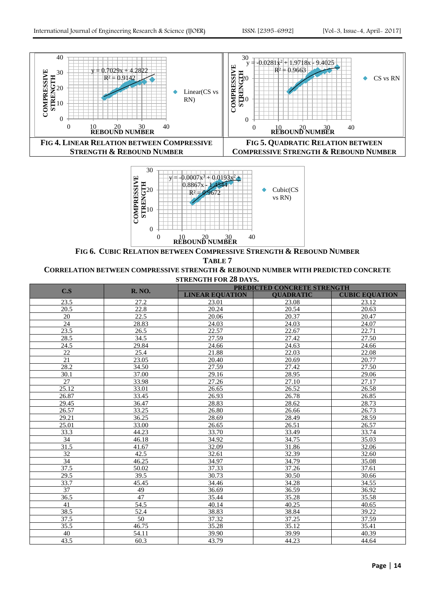



**FIG 6. CUBIC RELATION BETWEEN COMPRESSIVE STRENGTH & REBOUND NUMBER**

**TABLE 7**

#### **CORRELATION BETWEEN COMPRESSIVE STRENGTH & REBOUND NUMBER WITH PREDICTED CONCRETE STRENGTH FOR 28 DAYS.**

|       | <b>R. NO.</b>     | <b>PREDICTED CONCRETE STRENGTH</b> |                  |                       |  |  |
|-------|-------------------|------------------------------------|------------------|-----------------------|--|--|
| C.S   |                   | <b>LINEAR EQUATION</b>             | <b>OUADRATIC</b> | <b>CUBIC EQUATION</b> |  |  |
| 23.5  | 27.2              | 23.01                              | 23.08            | 23.12                 |  |  |
| 20.5  | 22.8              | 20.24                              | 20.54            | 20.63                 |  |  |
| 20    | $\overline{22.5}$ | 20.06                              | 20.37            | 20.47                 |  |  |
| 24    | 28.83             | 24.03                              | 24.03            | 24.07                 |  |  |
| 23.5  | 26.5              | 22.57                              | 22.67            | 22.71                 |  |  |
| 28.5  | 34.5              | 27.59                              | 27.42            | 27.50                 |  |  |
| 24.5  | 29.84             | 24.66                              | 24.63            | 24.66                 |  |  |
| 22    | 25.4              | 21.88                              | 22.03            | 22.08                 |  |  |
| 21    | 23.05             | 20.40                              | 20.69            | 20.77                 |  |  |
| 28.2  | 34.50             | 27.59                              | 27.42            | 27.50                 |  |  |
| 30.1  | 37.00             | 29.16                              | 28.95            | 29.06                 |  |  |
| 27    | 33.98             | 27.26                              | 27.10            | 27.17                 |  |  |
| 25.12 | 33.01             | 26.65                              | 26.52            | 26.58                 |  |  |
| 26.87 | 33.45             | 26.93                              | 26.78            | 26.85                 |  |  |
| 29.45 | 36.47             | 28.83                              | 28.62            | 28.73                 |  |  |
| 26.57 | 33.25             | 26.80                              | 26.66            | 26.73                 |  |  |
| 29.21 | 36.25             | 28.69                              | 28.49            | 28.59                 |  |  |
| 25.01 | 33.00             | 26.65                              | 26.51            | 26.57                 |  |  |
| 33.3  | 44.23             | 33.70                              | 33.49            | 33.74                 |  |  |
| 34    | 46.18             | 34.92                              | 34.75            | 35.03                 |  |  |
| 31.5  | 41.67             | 32.09                              | 31.86            | 32.06                 |  |  |
| 32    | 42.5              | 32.61                              | 32.39            | 32.60                 |  |  |
| 34    | 46.25             | 34.97                              | 34.79            | 35.08                 |  |  |
| 37.5  | 50.02             | 37.33                              | 37.26            | 37.61                 |  |  |
| 29.5  | 39.5              | 30.73                              | 30.50            | 30.66                 |  |  |
| 33.7  | 45.45             | 34.46                              | 34.28            | 34.55                 |  |  |
| 37    | 49                | 36.69                              | 36.59            | 36.92                 |  |  |
| 36.5  | 47                | 35.44                              | 35.28            | 35.58                 |  |  |
| 41    | 54.5              | 40.14                              | 40.25            | 40.65                 |  |  |
| 38.5  | 52.4              | 38.83                              | 38.84            | 39.22                 |  |  |
| 37.5  | 50                | 37.32                              | 37.25            | 37.59                 |  |  |
| 35.5  | 46.75             | 35.28                              | 35.12            | 35.41                 |  |  |
| 40    | 54.11             | 39.90                              | 39.99            | 40.39                 |  |  |
| 43.5  | 60.3              | 43.79                              | 44.23            | 44.64                 |  |  |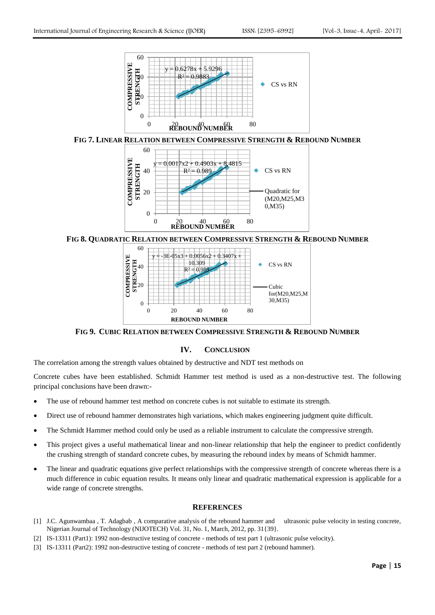





**FIG 8. QUADRATIC RELATION BETWEEN COMPRESSIVE STRENGTH & REBOUND NUMBER**



**FIG 9. CUBIC RELATION BETWEEN COMPRESSIVE STRENGTH & REBOUND NUMBER**

## **IV. CONCLUSION**

The correlation among the strength values obtained by destructive and NDT test methods on

Concrete cubes have been established. Schmidt Hammer test method is used as a non-destructive test. The following principal conclusions have been drawn:-

- The use of rebound hammer test method on concrete cubes is not suitable to estimate its strength.
- Direct use of rebound hammer demonstrates high variations, which makes engineering judgment quite difficult.
- The Schmidt Hammer method could only be used as a reliable instrument to calculate the compressive strength.
- This project gives a useful mathematical linear and non-linear relationship that help the engineer to predict confidently the crushing strength of standard concrete cubes, by measuring the rebound index by means of Schmidt hammer.
- The linear and quadratic equations give perfect relationships with the compressive strength of concrete whereas there is a much difference in cubic equation results. It means only linear and quadratic mathematical expression is applicable for a wide range of concrete strengths.

## **REFERENCES**

- [1] J.C. Agunwambaa , T. Adagbab , A comparative analysis of the rebound hammer and ultrasonic pulse velocity in testing concrete, Nigerian Journal of Technology (NIJOTECH) Vol. 31, No. 1, March, 2012, pp. 31{39}.
- [2] IS-13311 (Part1): 1992 non-destructive testing of concrete methods of test part 1 (ultrasonic pulse velocity).
- [3] IS-13311 (Part2): 1992 non-destructive testing of concrete methods of test part 2 (rebound hammer).